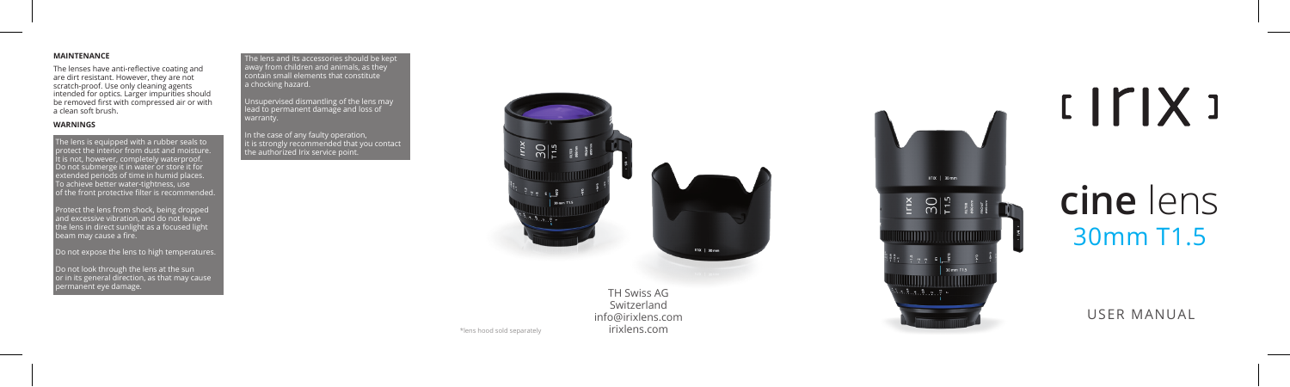# **MAINTENANCE**

The lenses have anti-reflective coating and are dirt resistant. However, they are not scratch-proof. Use only cleaning agents intended for optics. Larger impurities should be removed first with compressed air or with a clean soft brush.

# **WARNINGS**

The lens is equipped with a rubber seals to protect the interior from dust and moisture. It is not, however, completely waterproof. Do not submerge it in water or store it for extended periods of time in humid places. To achieve better water-tightness, use of the front protective filter is recommended.

Protect the lens from shock, being dropped and excessive vibration, and do not leave  $\overline{\phantom{a}}$ the lens in direct sunlight as a focused light beam may cause a fire.

Do not expose the lens to high temperatures.

Do not look through the lens at the sun or in its general direction, as that may cause permanent eye damage. TH Swiss AG

The lens and its accessories should be kept away from children and animals, as they contain small elements that constitute a chocking hazard.

Unsupervised dismantling of the lens may lead to permanent damage and loss of

In the case of any faulty operation, it is strongly recommended that you contact the authorized Irix service point.



Switzerland info@irixlens.com irixlens.com



# $IITIX$

# 30mm T1.5 **cine** lens

USER MANUAL

\*lens hood sold separately